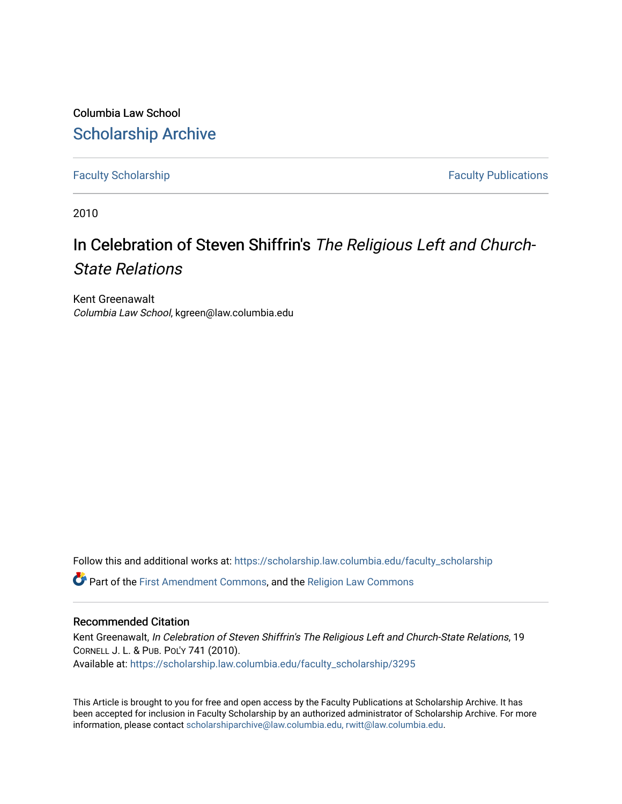Columbia Law School [Scholarship Archive](https://scholarship.law.columbia.edu/) 

[Faculty Scholarship](https://scholarship.law.columbia.edu/faculty_scholarship) **Faculty Scholarship Faculty Publications** 

2010

# In Celebration of Steven Shiffrin's The Religious Left and Church-State Relations

Kent Greenawalt Columbia Law School, kgreen@law.columbia.edu

Follow this and additional works at: [https://scholarship.law.columbia.edu/faculty\\_scholarship](https://scholarship.law.columbia.edu/faculty_scholarship?utm_source=scholarship.law.columbia.edu%2Ffaculty_scholarship%2F3295&utm_medium=PDF&utm_campaign=PDFCoverPages)

Part of the [First Amendment Commons,](http://network.bepress.com/hgg/discipline/1115?utm_source=scholarship.law.columbia.edu%2Ffaculty_scholarship%2F3295&utm_medium=PDF&utm_campaign=PDFCoverPages) and the [Religion Law Commons](http://network.bepress.com/hgg/discipline/872?utm_source=scholarship.law.columbia.edu%2Ffaculty_scholarship%2F3295&utm_medium=PDF&utm_campaign=PDFCoverPages) 

### Recommended Citation

Kent Greenawalt, In Celebration of Steven Shiffrin's The Religious Left and Church-State Relations, 19 CORNELL J. L. & PUB. POL'Y 741 (2010). Available at: [https://scholarship.law.columbia.edu/faculty\\_scholarship/3295](https://scholarship.law.columbia.edu/faculty_scholarship/3295?utm_source=scholarship.law.columbia.edu%2Ffaculty_scholarship%2F3295&utm_medium=PDF&utm_campaign=PDFCoverPages)

This Article is brought to you for free and open access by the Faculty Publications at Scholarship Archive. It has been accepted for inclusion in Faculty Scholarship by an authorized administrator of Scholarship Archive. For more information, please contact [scholarshiparchive@law.columbia.edu, rwitt@law.columbia.edu](mailto:scholarshiparchive@law.columbia.edu,%20rwitt@law.columbia.edu).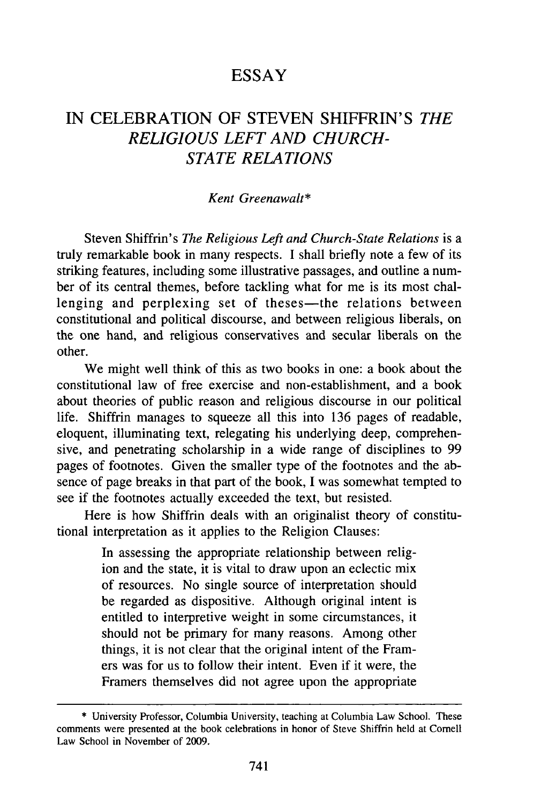## **ESSAY**

## IN CELEBRATION OF STEVEN SHIFFRIN'S *THE RELIGIOUS LEFT AND CHURCH-STATE RELATIONS*

#### *Kent Greenawalt\**

Steven Shiffrin's *The Religious Left and Church-State Relations* is a truly remarkable book in many respects. I shall briefly note a few of its striking features, including some illustrative passages, and outline a number of its central themes, before tackling what for me is its most challenging and perplexing set of theses—the relations between constitutional and political discourse, and between religious liberals, on the one hand, and religious conservatives and secular liberals on the other.

We might well think of this as two books in one: a book about the constitutional law of free exercise and non-establishment, and a book about theories of public reason and religious discourse in our political life. Shiffrin manages to squeeze all this into 136 pages of readable, eloquent, illuminating text, relegating his underlying deep, comprehensive, and penetrating scholarship in a wide range of disciplines to 99 pages of footnotes. Given the smaller type of the footnotes and the absence of page breaks in that part of the book, I was somewhat tempted to see if the footnotes actually exceeded the text, but resisted.

Here is how Shiffrin deals with an originalist theory of constitutional interpretation as it applies to the Religion Clauses:

> In assessing the appropriate relationship between religion and the state, it is vital to draw upon an eclectic mix of resources. No single source of interpretation should be regarded as dispositive. Although original intent is entitled to interpretive weight in some circumstances, it should not be primary for many reasons. Among other things, it is not clear that the original intent of the Framers was for us to follow their intent. Even if it were, the Framers themselves did not agree upon the appropriate

<sup>\*</sup> University Professor, Columbia University, teaching at Columbia Law School. These comments were presented at the book celebrations in honor of Steve Shiffrin held at Cornell Law School in November of 2009.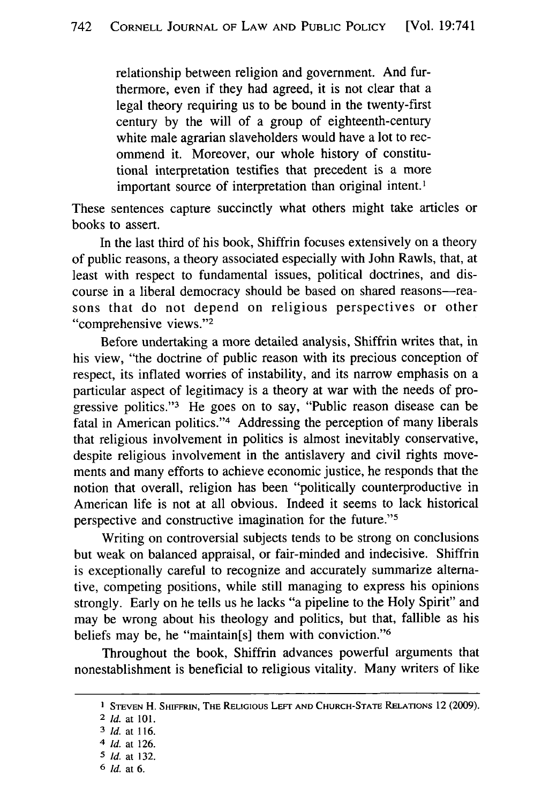relationship between religion and government. And furthermore, even if they had agreed, it is not clear that a legal theory requiring us to be bound in the twenty-first century by the will of a group of eighteenth-century white male agrarian slaveholders would have a lot to recommend it. Moreover, our whole history of constitutional interpretation testifies that precedent is a more important source of interpretation than original intent.<sup>1</sup>

These sentences capture succinctly what others might take articles or books to assert.

In the last third of his book, Shiffrin focuses extensively on a theory of public reasons, a theory associated especially with John Rawls, that, at least with respect to fundamental issues, political doctrines, and discourse in a liberal democracy should be based on shared reasons-reasons that do not depend on religious perspectives or other "comprehensive views."<sup>2</sup>

Before undertaking a more detailed analysis, Shiffrin writes that, in his view, "the doctrine of public reason with its precious conception of respect, its inflated worries of instability, and its narrow emphasis on a particular aspect of legitimacy is a theory at war with the needs of progressive politics."<sup>3</sup> He goes on to say, "Public reason disease can be fatal in American politics."<sup>4</sup> Addressing the perception of many liberals that religious involvement in politics is almost inevitably conservative, despite religious involvement in the antislavery and civil rights movements and many efforts to achieve economic justice, he responds that the notion that overall, religion has been "politically counterproductive in American life is not at all obvious. Indeed it seems to lack historical perspective and constructive imagination for the future."<sup>5</sup>

Writing on controversial subjects tends to be strong on conclusions but weak on balanced appraisal, or fair-minded and indecisive. Shiffrin is exceptionally careful to recognize and accurately summarize alternative, competing positions, while still managing to express his opinions strongly. Early on he tells us he lacks "a pipeline to the Holy Spirit" and may be wrong about his theology and politics, but that, fallible as his beliefs may be, he "maintain[s] them with conviction."<sup>6</sup>

Throughout the book, Shiffrin advances powerful arguments that nonestablishment is beneficial to religious vitality. Many writers of like

**I STEVEN** H. SHIFFRIN, **THE** RELIGIOUS **LEFr AND CHURCH-STATE** RELATIONS 12 (2009).

<sup>2</sup> *Id.* at 101.

**<sup>3</sup>** *Id.* at **116.**

<sup>4</sup> *Id.* at 126.

**<sup>5</sup>** *Id.* at 132.

**<sup>6</sup>** *Id.* at **6.**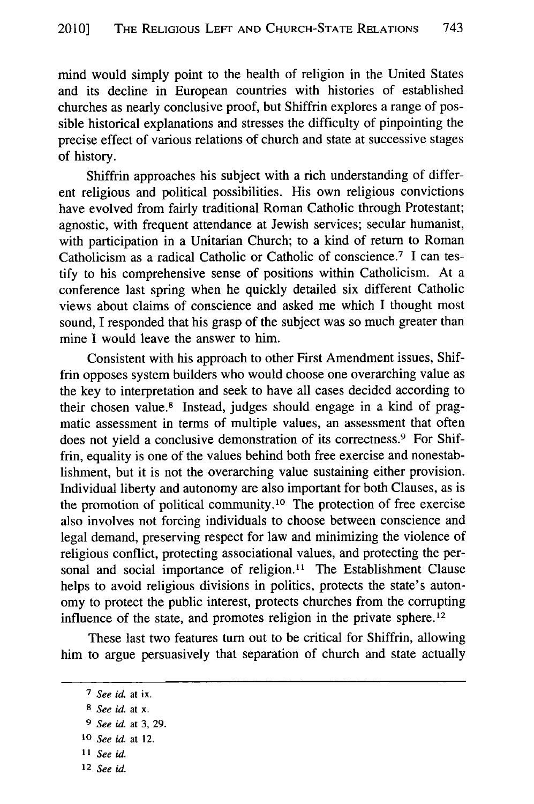mind would simply point to the health of religion in the United States and its decline in European countries with histories of established churches as nearly conclusive proof, but Shiffrin explores a range of possible historical explanations and stresses the difficulty of pinpointing the precise effect of various relations of church and state at successive stages of history.

Shiffrin approaches his subject with a rich understanding of different religious and political possibilities. His own religious convictions have evolved from fairly traditional Roman Catholic through Protestant; agnostic, with frequent attendance at Jewish services; secular humanist, with participation in a Unitarian Church; to a kind of return to Roman Catholicism as a radical Catholic or Catholic of conscience.<sup>7</sup> I can testify to his comprehensive sense of positions within Catholicism. At a conference last spring when he quickly detailed six different Catholic views about claims of conscience and asked me which I thought most sound, I responded that his grasp of the subject was so much greater than mine I would leave the answer to him.

Consistent with his approach to other First Amendment issues, Shiffrin opposes system builders who would choose one overarching value as the key to interpretation and seek to have all cases decided according to their chosen value.<sup>8</sup> Instead, judges should engage in a kind of pragmatic assessment in terms of multiple values, an assessment that often does not yield a conclusive demonstration of its correctness.<sup>9</sup> For Shiffrin, equality is one of the values behind both free exercise and nonestablishment, but it is not the overarching value sustaining either provision. Individual liberty and autonomy are also important for both Clauses, as is the promotion of political community. 10 The protection of free exercise also involves not forcing individuals to choose between conscience and legal demand, preserving respect for law and minimizing the violence of religious conflict, protecting associational values, and protecting the personal and social importance of religion.<sup>11</sup> The Establishment Clause helps to avoid religious divisions in politics, protects the state's autonomy to protect the public interest, protects churches from the corrupting influence of the state, and promotes religion in the private sphere. <sup>12</sup>

These last two features turn out to be critical for Shiffrin, allowing him to argue persuasively that separation of church and state actually

- **<sup>11</sup>***See id.*
- **12** *See id.*

*<sup>7</sup> See id.* at ix.

**<sup>8</sup>***See id.* at x.

**<sup>9</sup>** *See id.* at 3, 29.

**<sup>10</sup>** *See id.* at 12.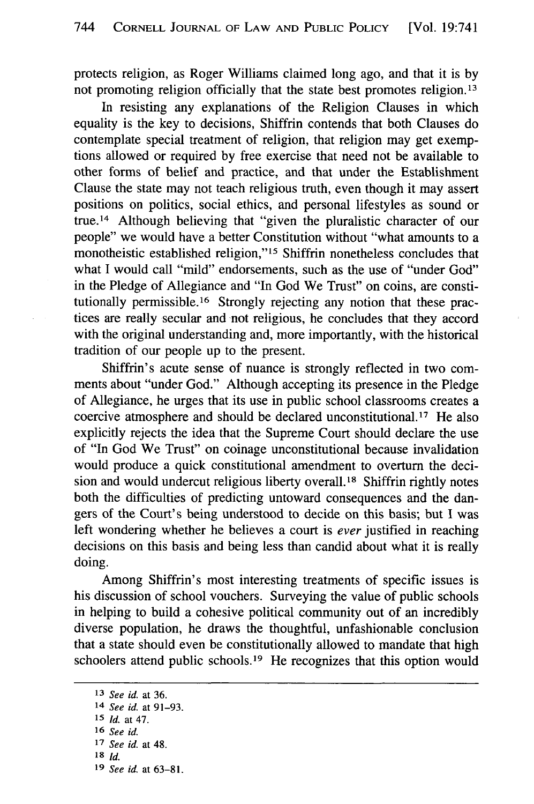protects religion, as Roger Williams claimed long ago, and that it is by not promoting religion officially that the state best promotes religion. <sup>13</sup>

In resisting any explanations of the Religion Clauses in which equality is the key to decisions, Shiffrin contends that both Clauses do contemplate special treatment of religion, that religion may get exemptions allowed or required by free exercise that need not be available to other forms of belief and practice, and that under the Establishment Clause the state may not teach religious truth, even though it may assert positions on politics, social ethics, and personal lifestyles as sound or true. 14 Although believing that "given the pluralistic character of our people" we would have a better Constitution without "what amounts to a monotheistic established religion,"<sup>15</sup> Shiffrin nonetheless concludes that what I would call "mild" endorsements, such as the use of "under God" in the Pledge of Allegiance and "In God We Trust" on coins, are constitutionally permissible.<sup>16</sup> Strongly rejecting any notion that these practices are really secular and not religious, he concludes that they accord with the original understanding and, more importantly, with the historical tradition of our people up to the present.

Shiffrin's acute sense of nuance is strongly reflected in two comments about "under God." Although accepting its presence in the Pledge of Allegiance, he urges that its use in public school classrooms creates a coercive atmosphere and should be declared unconstitutional. **17** He also explicitly rejects the idea that the Supreme Court should declare the use of "In God We Trust" on coinage unconstitutional because invalidation would produce a quick constitutional amendment to overturn the decision and would undercut religious liberty overall. 18 Shiffrin rightly notes both the difficulties of predicting untoward consequences and the dangers of the Court's being understood to decide on this basis; but I was left wondering whether he believes a court is *ever* justified in reaching decisions on this basis and being less than candid about what it is really doing.

Among Shiffrin's most interesting treatments of specific issues is his discussion of school vouchers. Surveying the value of public schools in helping to build a cohesive political community out of an incredibly diverse population, he draws the thoughtful, unfashionable conclusion that a state should even be constitutionally allowed to mandate that high schoolers attend public schools.<sup>19</sup> He recognizes that this option would

**<sup>13</sup>** *See id.* at **36.**

<sup>14</sup> *See id.* at **91-93.**

**<sup>15</sup>** *Id.* at 47.

**<sup>16</sup>** *See id.*

**<sup>17</sup>** *See id.* at 48.

**<sup>18</sup>** *Id.*

**<sup>19</sup>** *See id.* at **63-81.**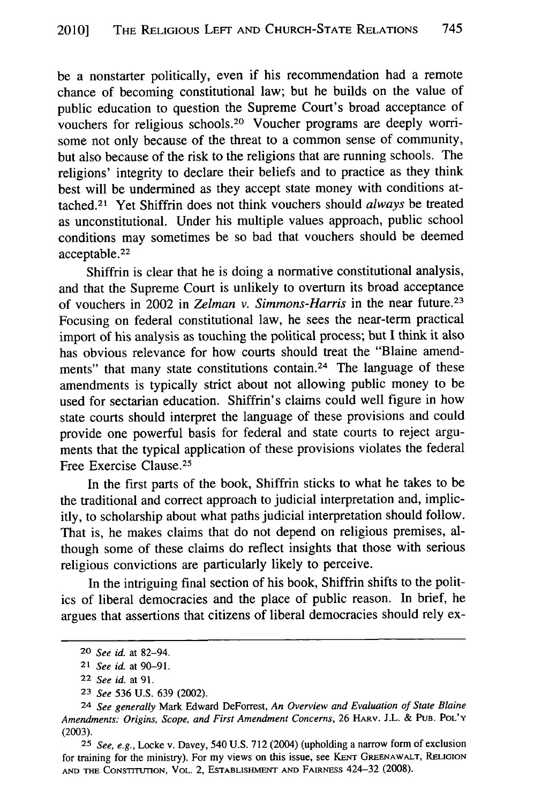be a nonstarter politically, even if his recommendation had a remote chance of becoming constitutional law; but he builds on the value of public education to question the Supreme Court's broad acceptance of vouchers for religious schools.<sup>20</sup> Voucher programs are deeply worrisome not only because of the threat to a common sense of community, but also because of the risk to the religions that are running schools. The religions' integrity to declare their beliefs and to practice as they think best will be undermined as they accept state money with conditions attached. 21 Yet Shiffrin does not think vouchers should *always* be treated as unconstitutional. Under his multiple values approach, public school conditions may sometimes be so bad that vouchers should be deemed acceptable. <sup>22</sup>

Shiffrin is clear that he is doing a normative constitutional analysis, and that the Supreme Court is unlikely to overturn its broad acceptance of vouchers in 2002 in *Zelman v. Simmons-Harris* in the near future.<sup>23</sup> Focusing on federal constitutional law, he sees the near-term practical import of his analysis as touching the political process; but I think it also has obvious relevance for how courts should treat the "Blaine amendments" that many state constitutions contain.<sup>24</sup> The language of these amendments is typically strict about not allowing public money to be used for sectarian education. Shiffrin's claims could well figure in how state courts should interpret the language of these provisions and could provide one powerful basis for federal and state courts to reject arguments that the typical application of these provisions violates the federal Free Exercise Clause. <sup>25</sup>

In the first parts of the book, Shiffrin sticks to what he takes to be the traditional and correct approach to judicial interpretation and, implicitly, to scholarship about what paths judicial interpretation should follow. That is, he makes claims that do not depend on religious premises, although some of these claims do reflect insights that those with serious religious convictions are particularly likely to perceive.

In the intriguing final section of his book, Shiffrin shifts to the politics of liberal democracies and the place of public reason. In brief, he argues that assertions that citizens of liberal democracies should rely ex-

**25** *See, e.g.,* Locke v. Davey, 540 U.S. 712 (2004) (upholding a narrow form of exclusion for training for the ministry). For my views on this issue, see **KENT** GREENAWALT, RELIGION **AND THE** CoNsrrrtrnloN, VOL. 2, **ESTABLISHMENT AND** FAImNEss 424-32 (2008).

<sup>20</sup> *See id.* at 82-94.

*<sup>21</sup> See id.* at **90-91.**

<sup>22</sup> *See id.* at 91.

**<sup>23</sup>** *See* 536 U.S. 639 (2002).

<sup>24</sup> *See generally* Mark Edward DeForrest, *An Overview and Evaluation of State Blaine Amendments: Origins, Scope, and First Amendment Concerns,* 26 HARv. J.L. **& PUB.** POL'Y (2003).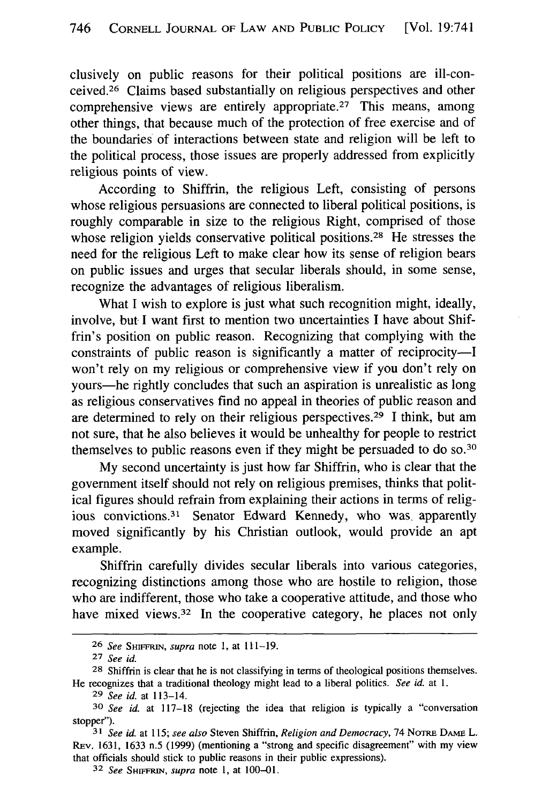clusively on public reasons for their political positions are ill-conceived.26 Claims based substantially on religious perspectives and other comprehensive views are entirely appropriate.<sup>27</sup> This means, among other things, that because much of the protection of free exercise and of the boundaries of interactions between state and religion will be left to the political process, those issues are properly addressed from explicitly religious points of view.

According to Shiffrin, the religious Left, consisting of persons whose religious persuasions are connected to liberal political positions, is roughly comparable in size to the religious Right, comprised of those whose religion yields conservative political positions.<sup>28</sup> He stresses the need for the religious Left to make clear how its sense of religion bears on public issues and urges that secular liberals should, in some sense, recognize the advantages of religious liberalism.

What I wish to explore is just what such recognition might, ideally, involve, but I want first to mention two uncertainties I have about Shiffrin's position on public reason. Recognizing that complying with the constraints of public reason is significantly a matter of reciprocity-I won't rely on my religious or comprehensive view if you don't rely on yours-he rightly concludes that such an aspiration is unrealistic as long as religious conservatives find no appeal in theories of public reason and are determined to rely on their religious perspectives. 29 I think, but am not sure, that he also believes it would be unhealthy for people to restrict themselves to public reasons even if they might be persuaded to do so.<sup>3</sup>

My second uncertainty is just how far Shiffrin, who is clear that the government itself should not rely on religious premises, thinks that political figures should refrain from explaining their actions in terms of religious convictions.<sup>31</sup> Senator Edward Kennedy, who was apparently moved significantly by his Christian outlook, would provide an apt example.

Shiffrin carefully divides secular liberals into various categories, recognizing distinctions among those who are hostile to religion, those who are indifferent, those who take a cooperative attitude, and those who have mixed views.<sup>32</sup> In the cooperative category, he places not only

**<sup>26</sup>** *See SHIEFRIN, supra* note 1, at 111-19.

**<sup>27</sup>** *See id.*

<sup>28</sup> Shiffrin is clear that he is not classifying in terms of theological positions themselves. He recognizes that a traditional theology might lead to a liberal politics. *See id.* at 1.

**<sup>29</sup>** *See id.* at 113-14.

**<sup>30</sup>** *See id.* at 117-18 (rejecting the idea that religion is typically a "conversation stopper").

**<sup>31</sup>** *See id.* at 115; *see also* Steven Shiffrin, *Religion and Democracy,* 74 NoTRE DAMF L. REv. 1631, 1633 n.5 (1999) (mentioning a "strong and specific disagreement" with my view that officials should stick to public reasons in their public expressions).

<sup>32</sup> *See SHIFFRIN, supra* note 1, at 100-01.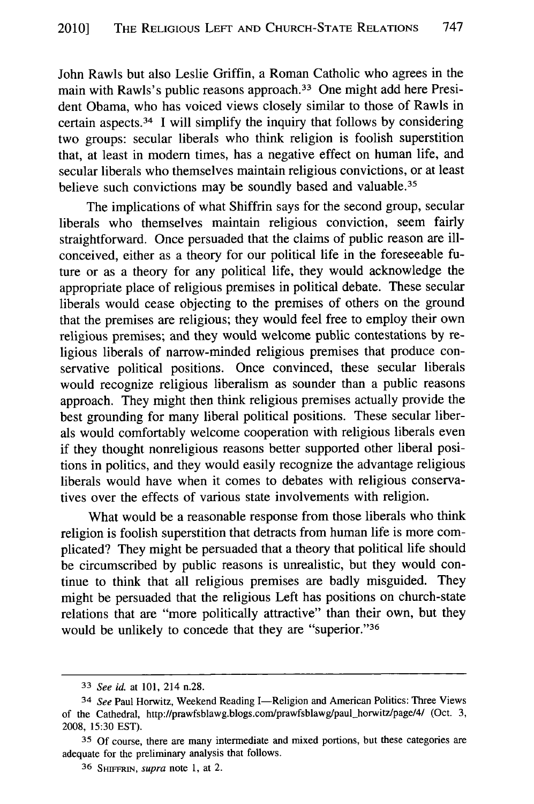John Rawls but also Leslie Griffin, a Roman Catholic who agrees in the main with Rawls's public reasons approach.<sup>33</sup> One might add here President Obama, who has voiced views closely similar to those of Rawls in certain aspects. 34 I will simplify the inquiry that follows by considering two groups: secular liberals who think religion is foolish superstition that, at least in modem times, has a negative effect on human life, and secular liberals who themselves maintain religious convictions, or at least believe such convictions may be soundly based and valuable.<sup>35</sup>

The implications of what Shiffrin says for the second group, secular liberals who themselves maintain religious conviction, seem fairly straightforward. Once persuaded that the claims of public reason are illconceived, either as a theory for our political life in the foreseeable future or as a theory for any political life, they would acknowledge the appropriate place of religious premises in political debate. These secular liberals would cease objecting to the premises of others on the ground that the premises are religious; they would feel free to employ their own religious premises; and they would welcome public contestations by religious liberals of narrow-minded religious premises that produce conservative political positions. Once convinced, these secular liberals would recognize religious liberalism as sounder than a public reasons approach. They might then think religious premises actually provide the best grounding for many liberal political positions. These secular liberals would comfortably welcome cooperation with religious liberals even if they thought nonreligious reasons better supported other liberal positions in politics, and they would easily recognize the advantage religious liberals would have when it comes to debates with religious conservatives over the effects of various state involvements with religion.

What would be a reasonable response from those liberals who think religion is foolish superstition that detracts from human life is more complicated? They might be persuaded that a theory that political life should be circumscribed by public reasons is unrealistic, but they would continue to think that all religious premises are badly misguided. They might be persuaded that the religious Left has positions on church-state relations that are "more politically attractive" than their own, but they would be unlikely to concede that they are "superior."<sup>36</sup>

**<sup>33</sup>***See id.* at 101, 214 n.28.

<sup>&</sup>lt;sup>34</sup> See Paul Horwitz, Weekend Reading I-Religion and American Politics: Three Views of the Cathedral, http://prawfsblawg.blogs.com/prawfsblawg/paul-horwitz/page/4/ (Oct. 3, 2008, 15:30 EST).

**<sup>35</sup> Of** course, there are many intermediate and mixed portions, but these categories are adequate for the preliminary analysis that follows.

**<sup>36</sup>** SmFFRIN, *supra* note 1, at 2.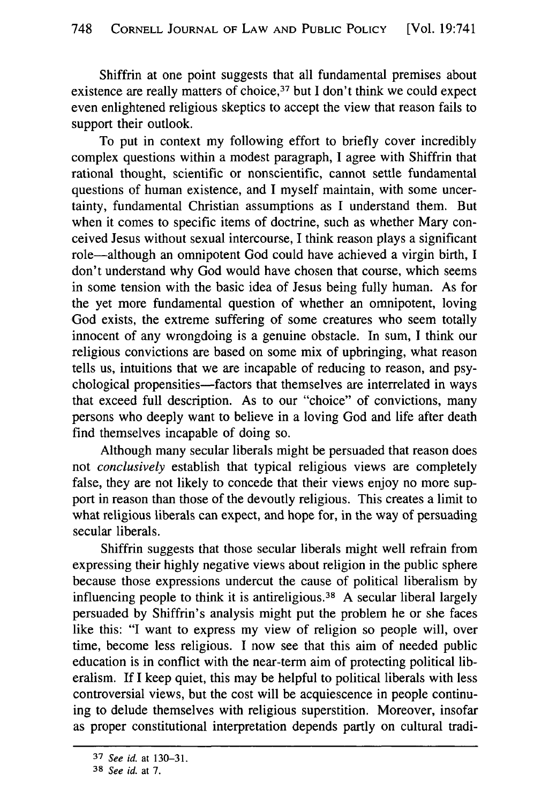Shiffrin at one point suggests that all fundamental premises about existence are really matters of choice,  $37$  but I don't think we could expect even enlightened religious skeptics to accept the view that reason fails to support their outlook.

To put in context my following effort to briefly cover incredibly complex questions within a modest paragraph, I agree with Shiffrin that rational thought, scientific or nonscientific, cannot settle fundamental questions of human existence, and I myself maintain, with some uncertainty, fundamental Christian assumptions as I understand them. But when it comes to specific items of doctrine, such as whether Mary conceived Jesus without sexual intercourse, I think reason plays a significant role-although an omnipotent God could have achieved a virgin birth, I don't understand why God would have chosen that course, which seems in some tension with the basic idea of Jesus being fully human. As for the yet more fundamental question of whether an omnipotent, loving God exists, the extreme suffering of some creatures who seem totally innocent of any wrongdoing is a genuine obstacle. In sum, I think our religious convictions are based on some mix of upbringing, what reason tells us, intuitions that we are incapable of reducing to reason, and psychological propensities—factors that themselves are interrelated in ways that exceed full description. As to our "choice" of convictions, many persons who deeply want to believe in a loving God and life after death find themselves incapable of doing so.

Although many secular liberals might be persuaded that reason does not *conclusively* establish that typical religious views are completely false, they are not likely to concede that their views enjoy no more support in reason than those of the devoutly religious. This creates a limit to what religious liberals can expect, and hope for, in the way of persuading secular liberals.

Shiffrin suggests that those secular liberals might well refrain from expressing their highly negative views about religion in the public sphere because those expressions undercut the cause of political liberalism by influencing people to think it is antireligious. 38 A secular liberal largely persuaded by Shiffrin's analysis might put the problem he or she faces like this: "I want to express my view of religion so people will, over time, become less religious. I now see that this aim of needed public education is in conflict with the near-term aim of protecting political liberalism. If I keep quiet, this may be helpful to political liberals with less controversial views, but the cost will be acquiescence in people continuing to delude themselves with religious superstition. Moreover, insofar as proper constitutional interpretation depends partly on cultural tradi-

**<sup>37</sup>** *See id.* at **130-31.**

**<sup>38</sup>** *See id.* at 7.